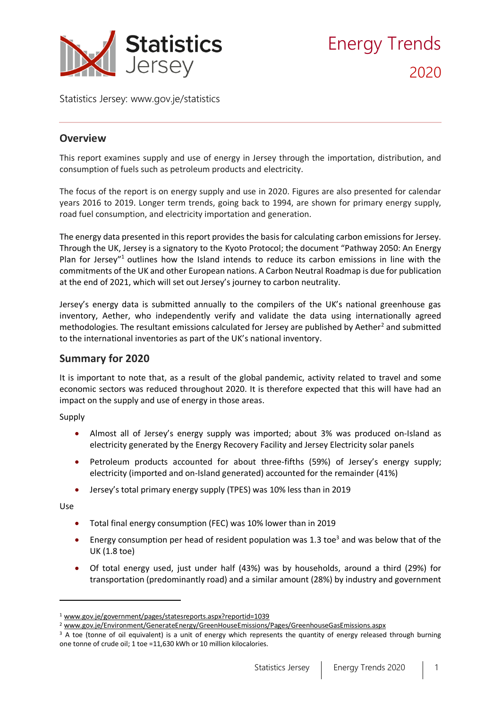

Statistics Jersey: [www.gov.je/statistics](https://www.gov.je/statistics)

# **Overview**

This report examines supply and use of energy in Jersey through the importation, distribution, and consumption of fuels such as petroleum products and electricity.

The focus of the report is on energy supply and use in 2020. Figures are also presented for calendar years 2016 to 2019. Longer term trends, going back to 1994, are shown for primary energy supply, road fuel consumption, and electricity importation and generation.

The energy data presented in this report provides the basis for calculating carbon emissions for Jersey. Through the UK, Jersey is a signatory to the Kyoto Protocol; the document "Pathway 2050: An Energy Plan for Jersey"<sup>1</sup> outlines how the Island intends to reduce its carbon emissions in line with the commitments of the UK and other European nations. A Carbon Neutral Roadmap is due for publication at the end of 2021, which will set out Jersey's journey to carbon neutrality.

Jersey's energy data is submitted annually to the compilers of the UK's national greenhouse gas inventory, Aether, who independently verify and validate the data using internationally agreed methodologies. The resultant emissions calculated for Jersey are published by Aether<sup>2</sup> and submitted to the international inventories as part of the UK's national inventory.

# **Summary for 2020**

It is important to note that, as a result of the global pandemic, activity related to travel and some economic sectors was reduced throughout 2020. It is therefore expected that this will have had an impact on the supply and use of energy in those areas.

Supply

- Almost all of Jersey's energy supply was imported; about 3% was produced on-Island as electricity generated by the Energy Recovery Facility and Jersey Electricity solar panels
- Petroleum products accounted for about three-fifths (59%) of Jersey's energy supply; electricity (imported and on-Island generated) accounted for the remainder (41%)
- Jersey's total primary energy supply (TPES) was 10% less than in 2019

Use

- Total final energy consumption (FEC) was 10% lower than in 2019
- Energy consumption per head of resident population was 1.3 toe<sup>3</sup> and was below that of the UK (1.8 toe)
- Of total energy used, just under half (43%) was by households, around a third (29%) for transportation (predominantly road) and a similar amount (28%) by industry and government

<sup>1</sup> [www.gov.je/government/pages/statesreports.aspx?reportid=1039](http://www.gov.je/government/pages/statesreports.aspx?reportid=1039)

<sup>2</sup> [www.gov.je/Environment/GenerateEnergy/GreenHouseEmissions/Pages/GreenhouseGasEmissions.aspx](http://www.gov.je/Environment/GenerateEnergy/GreenHouseEmissions/Pages/GreenhouseGasEmissions.aspx)

<sup>&</sup>lt;sup>3</sup> A toe (tonne of oil equivalent) is a unit of energy which represents the quantity of energy released through burning one tonne of crude oil; 1 toe =11,630 kWh or 10 million kilocalories.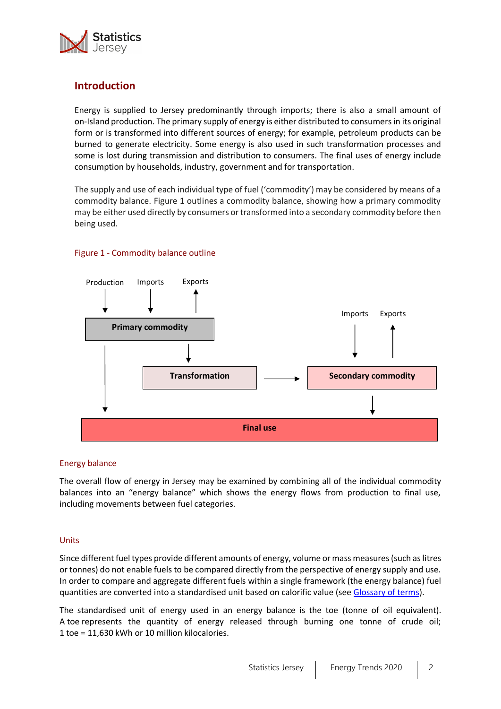

# **Introduction**

Energy is supplied to Jersey predominantly through imports; there is also a small amount of on-Island production. The primary supply of energy is either distributed to consumers in its original form or is transformed into different sources of energy; for example, petroleum products can be burned to generate electricity. Some energy is also used in such transformation processes and some is lost during transmission and distribution to consumers. The final uses of energy include consumption by households, industry, government and for transportation.

The supply and use of each individual type of fuel ('commodity') may be considered by means of a commodity balance. Figure 1 outlines a commodity balance, showing how a primary commodity may be either used directly by consumers or transformed into a secondary commodity before then being used.



## Figure 1 - Commodity balance outline

### Energy balance

The overall flow of energy in Jersey may be examined by combining all of the individual commodity balances into an "energy balance" which shows the energy flows from production to final use, including movements between fuel categories.

### Units

Since different fuel types provide different amounts of energy, volume or mass measures (such as litres or tonnes) do not enable fuels to be compared directly from the perspective of energy supply and use. In order to compare and aggregate different fuels within a single framework (the energy balance) fuel quantities are converted into a standardised unit based on calorific value (see [Glossary](#page-12-0) of terms).

The standardised unit of energy used in an energy balance is the toe (tonne of oil equivalent). A toe represents the quantity of energy released through burning one tonne of crude oil; 1 toe = 11,630 kWh or 10 million kilocalories.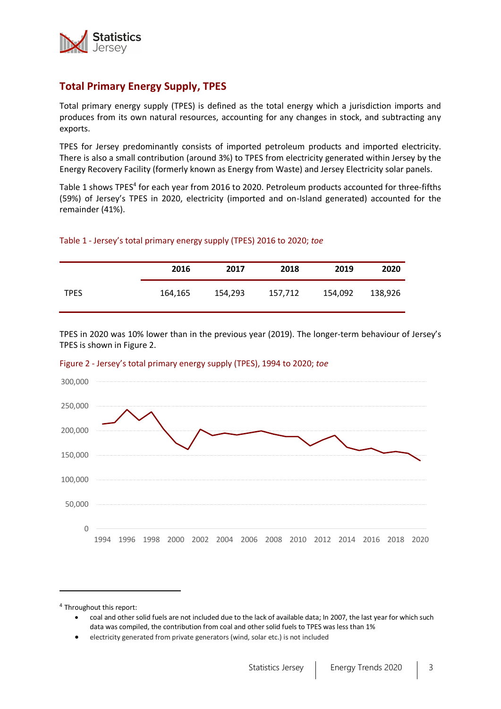

# **Total Primary Energy Supply, TPES**

Total primary energy supply (TPES) is defined as the total energy which a jurisdiction imports and produces from its own natural resources, accounting for any changes in stock, and subtracting any exports.

TPES for Jersey predominantly consists of imported petroleum products and imported electricity. There is also a small contribution (around 3%) to TPES from electricity generated within Jersey by the Energy Recovery Facility (formerly known as Energy from Waste) and Jersey Electricity solar panels.

Table 1 shows TPES<sup>4</sup> for each year from 2016 to 2020. Petroleum products accounted for three-fifths (59%) of Jersey's TPES in 2020, electricity (imported and on-Island generated) accounted for the remainder (41%).

## Table 1 - Jersey's total primary energy supply (TPES) 2016 to 2020; *toe*

|             | 2016    | 2017    | 2018    | 2019    | 2020    |
|-------------|---------|---------|---------|---------|---------|
| <b>TPES</b> | 164,165 | 154,293 | 157,712 | 154,092 | 138,926 |

TPES in 2020 was 10% lower than in the previous year (2019). The longer-term behaviour of Jersey's TPES is shown in Figure 2.



### Figure 2 - Jersey's total primary energy supply (TPES), 1994 to 2020; *toe*

<sup>&</sup>lt;sup>4</sup> Throughout this report:

<sup>•</sup> coal and other solid fuels are not included due to the lack of available data; In 2007, the last year for which such data was compiled, the contribution from coal and other solid fuels to TPES was less than 1%

<sup>•</sup> electricity generated from private generators (wind, solar etc.) is not included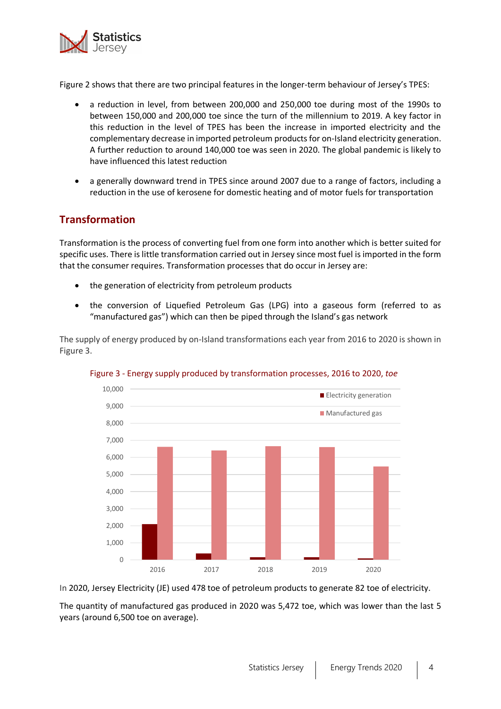

Figure 2 shows that there are two principal features in the longer-term behaviour of Jersey's TPES:

- a reduction in level, from between 200,000 and 250,000 toe during most of the 1990s to between 150,000 and 200,000 toe since the turn of the millennium to 2019. A key factor in this reduction in the level of TPES has been the increase in imported electricity and the complementary decrease in imported petroleum products for on-Island electricity generation. A further reduction to around 140,000 toe was seen in 2020. The global pandemic is likely to have influenced this latest reduction
- a generally downward trend in TPES since around 2007 due to a range of factors, including a reduction in the use of kerosene for domestic heating and of motor fuels for transportation

# **Transformation**

Transformation is the process of converting fuel from one form into another which is better suited for specific uses. There is little transformation carried out in Jersey since most fuel is imported in the form that the consumer requires. Transformation processes that do occur in Jersey are:

- the generation of electricity from petroleum products
- the conversion of Liquefied Petroleum Gas (LPG) into a gaseous form (referred to as "manufactured gas") which can then be piped through the Island's gas network

The supply of energy produced by on-Island transformations each year from 2016 to 2020 is shown in Figure 3.



### Figure 3 - Energy supply produced by transformation processes, 2016 to 2020, *toe*

In 2020, Jersey Electricity (JE) used 478 toe of petroleum products to generate 82 toe of electricity.

The quantity of manufactured gas produced in 2020 was 5,472 toe, which was lower than the last 5 years (around 6,500 toe on average).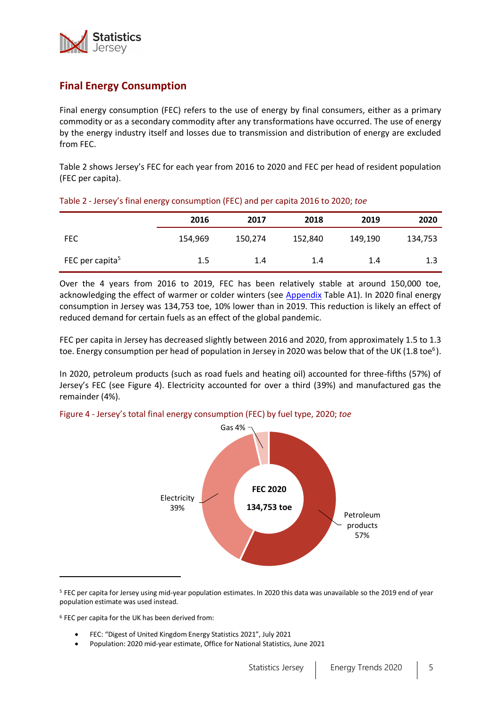

# **Final Energy Consumption**

Final energy consumption (FEC) refers to the use of energy by final consumers, either as a primary commodity or as a secondary commodity after any transformations have occurred. The use of energy by the energy industry itself and losses due to transmission and distribution of energy are excluded from FEC.

Table 2 shows Jersey's FEC for each year from 2016 to 2020 and FEC per head of resident population (FEC per capita).

|                             | 2016    | 2017    | 2018    | 2019    | 2020    |
|-----------------------------|---------|---------|---------|---------|---------|
| <b>FEC</b>                  | 154,969 | 150,274 | 152,840 | 149,190 | 134,753 |
| FEC per capita <sup>5</sup> | 1.5     | 1.4     | 1.4     | 1.4     | 1.3     |

## Table 2 - Jersey's final energy consumption (FEC) and per capita 2016 to 2020; *toe*

Over the 4 years from 2016 to 2019, FEC has been relatively stable at around 150,000 toe, acknowledging the effect of warmer or colder winters (see [Appendix](#page-11-0) Table A1). In 2020 final energy consumption in Jersey was 134,753 toe, 10% lower than in 2019. This reduction is likely an effect of reduced demand for certain fuels as an effect of the global pandemic.

FEC per capita in Jersey has decreased slightly between 2016 and 2020, from approximately 1.5 to 1.3 toe. Energy consumption per head of population in Jersey in 2020 was below that of the UK (1.8 toe<sup>[6](#page-4-0)</sup>).

In 2020, petroleum products (such as road fuels and heating oil) accounted for three-fifths (57%) of Jersey's FEC (see Figure 4). Electricity accounted for over a third (39%) and manufactured gas the remainder (4%).

<span id="page-4-0"></span>

# Figure 4 - Jersey's total final energy consumption (FEC) by fuel type, 2020; *toe*

<sup>6</sup> FEC per capita for the UK has been derived from:

- FEC: "Digest of United Kingdom Energy Statistics 2021", July 2021
- Population: 2020 mid-year estimate, Office for National Statistics, June 2021

<sup>5</sup> FEC per capita for Jersey using mid-year population estimates. In 2020 this data was unavailable so the 2019 end of year population estimate was used instead.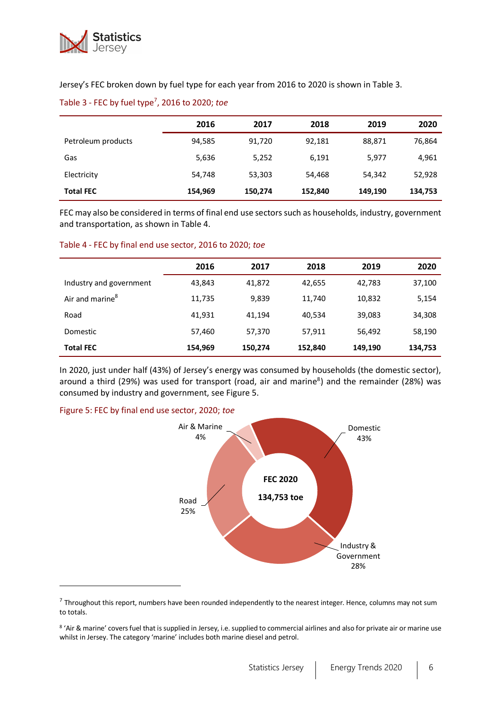

Jersey's FEC broken down by fuel type for each year from 2016 to 2020 is shown in Table 3.

|                    | 2016    | 2017    | 2018    | 2019    | 2020    |
|--------------------|---------|---------|---------|---------|---------|
| Petroleum products | 94,585  | 91,720  | 92,181  | 88,871  | 76,864  |
| Gas                | 5,636   | 5,252   | 6.191   | 5,977   | 4,961   |
| Electricity        | 54,748  | 53,303  | 54,468  | 54,342  | 52,928  |
| <b>Total FEC</b>   | 154,969 | 150,274 | 152,840 | 149,190 | 134,753 |

Table 3 - FEC by fuel type<sup>7</sup> , 2016 to 2020; *toe*

FEC may also be considered in terms of final end use sectors such as households, industry, government and transportation, as shown in Table 4.

#### Table 4 - FEC by final end use sector, 2016 to 2020; *toe*

|                             | 2016    | 2017    | 2018    | 2019    | 2020    |
|-----------------------------|---------|---------|---------|---------|---------|
| Industry and government     | 43,843  | 41,872  | 42,655  | 42,783  | 37,100  |
| Air and marine <sup>8</sup> | 11,735  | 9,839   | 11,740  | 10,832  | 5,154   |
| Road                        | 41,931  | 41,194  | 40,534  | 39,083  | 34,308  |
| Domestic                    | 57,460  | 57,370  | 57,911  | 56,492  | 58,190  |
| <b>Total FEC</b>            | 154,969 | 150,274 | 152,840 | 149,190 | 134,753 |

In 2020, just under half (43%) of Jersey's energy was consumed by households (the domestic sector), around a third (29%) was us[e](#page-5-0)d for transport (road, air and marine<sup>8</sup>) and the remainder (28%) was consumed by industry and government, see Figure 5.

### Figure 5: FEC by final end use sector, 2020; *toe*

<span id="page-5-1"></span><span id="page-5-0"></span>

 $^7$  Throughout this report, numbers have been rounded independently to the nearest integer. Hence, columns may not sum to totals.

<sup>&</sup>lt;sup>8</sup> 'Air & marine' covers fuel that is supplied in Jersey, i.e. supplied to commercial airlines and also for private air or marine use whilst in Jersey. The category 'marine' includes both marine diesel and petrol.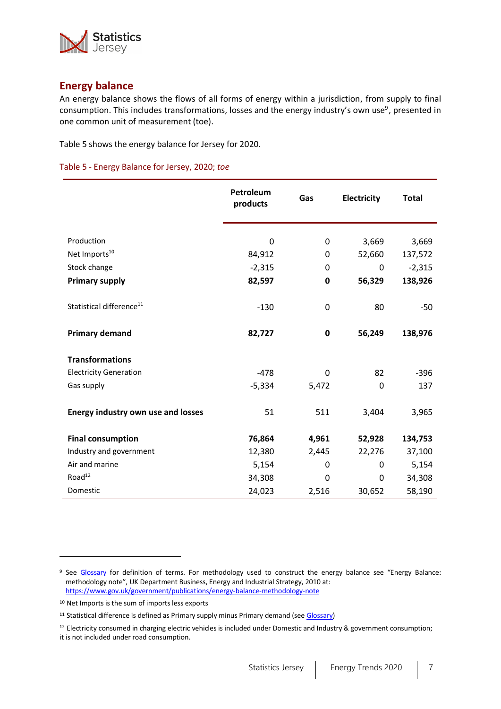

# **Energy balance**

<span id="page-6-0"></span>An energy balance shows the flows of all forms of energy within a jurisdiction, from supply to final consumption. This includes transformations, losses and the energy industry's own use<sup>[9](#page-6-0)</sup>, presented in one common unit of measurement (toe).

Table 5 shows the energy balance for Jersey for 2020.

#### Table 5 - Energy Balance for Jersey, 2020; *toe*

|                                           | Petroleum<br>products | Gas         | Electricity | <b>Total</b> |
|-------------------------------------------|-----------------------|-------------|-------------|--------------|
|                                           |                       |             |             |              |
| Production                                | 0                     | 0           | 3,669       | 3,669        |
| Net Imports <sup>10</sup>                 | 84,912                | 0           | 52,660      | 137,572      |
| Stock change                              | $-2,315$              | 0           | 0           | $-2,315$     |
| <b>Primary supply</b>                     | 82,597                | 0           | 56,329      | 138,926      |
| Statistical difference <sup>11</sup>      | $-130$                | $\mathbf 0$ | 80          | $-50$        |
| <b>Primary demand</b>                     | 82,727                | $\mathbf 0$ | 56,249      | 138,976      |
| <b>Transformations</b>                    |                       |             |             |              |
| <b>Electricity Generation</b>             | $-478$                | 0           | 82          | $-396$       |
| Gas supply                                | $-5,334$              | 5,472       | $\Omega$    | 137          |
| <b>Energy industry own use and losses</b> | 51                    | 511         | 3,404       | 3,965        |
| <b>Final consumption</b>                  | 76,864                | 4,961       | 52,928      | 134,753      |
| Industry and government                   | 12,380                | 2,445       | 22,276      | 37,100       |
| Air and marine                            | 5,154                 | 0           | 0           | 5,154        |
| Road <sup>12</sup>                        | 34,308                | 0           | 0           | 34,308       |
| Domestic                                  | 24,023                | 2,516       | 30,652      | 58,190       |
|                                           |                       |             |             |              |

<sup>9</sup> See [Glossary](#page-12-0) for definition of terms. For methodology used to construct the energy balance see "Energy Balance: methodology note", UK Department Business, Energy and Industrial Strategy, 2010 at: <https://www.gov.uk/government/publications/energy-balance-methodology-note>

<sup>10</sup> Net Imports is the sum of imports less exports

<sup>&</sup>lt;sup>11</sup> Statistical difference is defined as Primary supply minus Primary demand (se[e Glossary\)](#page-12-0)

 $12$  Electricity consumed in charging electric vehicles is included under Domestic and Industry & government consumption; it is not included under road consumption.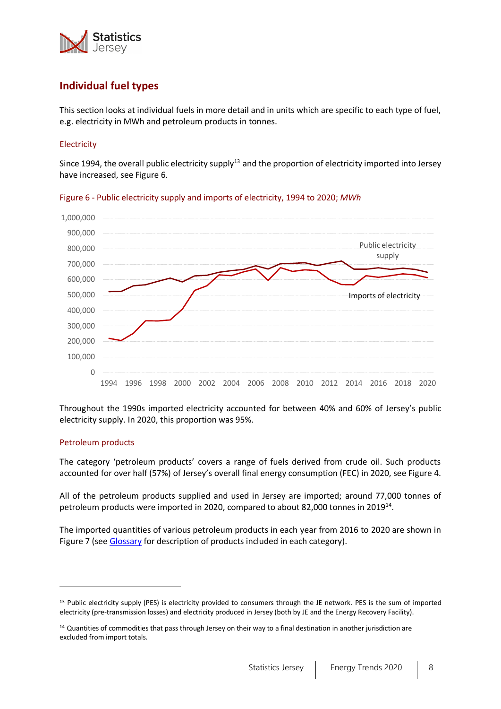

# **Individual fuel types**

This section looks at individual fuels in more detail and in units which are specific to each type of fuel, e.g. electricity in MWh and petroleum products in tonnes.

# Electricity

Since 1994, the overall public electricity supply<sup>13</sup> and the proportion of electricity imported into Jersey have increased, see Figure 6.



Figure 6 - Public electricity supply and imports of electricity, 1994 to 2020; *MWh*

Throughout the 1990s imported electricity accounted for between 40% and 60% of Jersey's public electricity supply. In 2020, this proportion was 95%.

### Petroleum products

The category 'petroleum products' covers a range of fuels derived from crude oil. Such products accounted for over half (57%) of Jersey's overall final energy consumption (FEC) in 2020, see Figure 4.

All of the petroleum products supplied and used in Jersey are imported; around 77,000 tonnes of petroleum products were imported in 2020, compared to about 82,000 tonnes in 2019<sup>14</sup>.

The imported quantities of various petroleum products in each year from 2016 to 2020 are shown in Figure 7 (see [Glossary](#page-12-0) for description of products included in each category).

<sup>13</sup> Public electricity supply (PES) is electricity provided to consumers through the JE network. PES is the sum of imported electricity (pre-transmission losses) and electricity produced in Jersey (both by JE and the Energy Recovery Facility).

<sup>&</sup>lt;sup>14</sup> Quantities of commodities that pass through Jersey on their way to a final destination in another jurisdiction are excluded from import totals.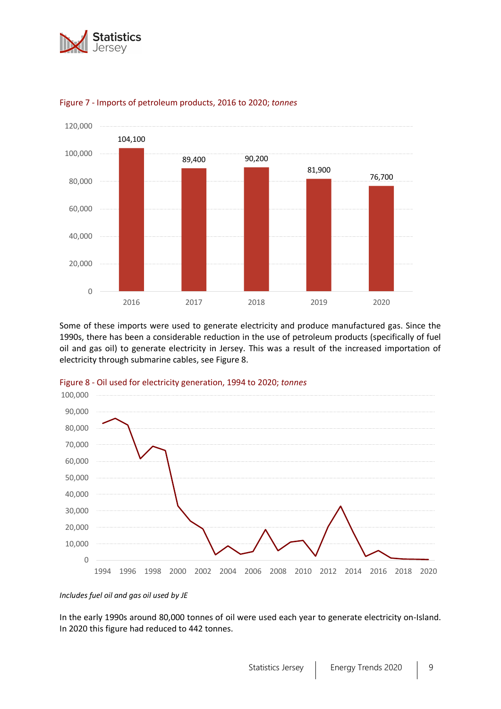





Some of these imports were used to generate electricity and produce manufactured gas. Since the 1990s, there has been a considerable reduction in the use of petroleum products (specifically of fuel oil and gas oil) to generate electricity in Jersey. This was a result of the increased importation of electricity through submarine cables, see Figure 8.





*Includes fuel oil and gas oil used by JE*

In the early 1990s around 80,000 tonnes of oil were used each year to generate electricity on-Island. In 2020 this figure had reduced to 442 tonnes.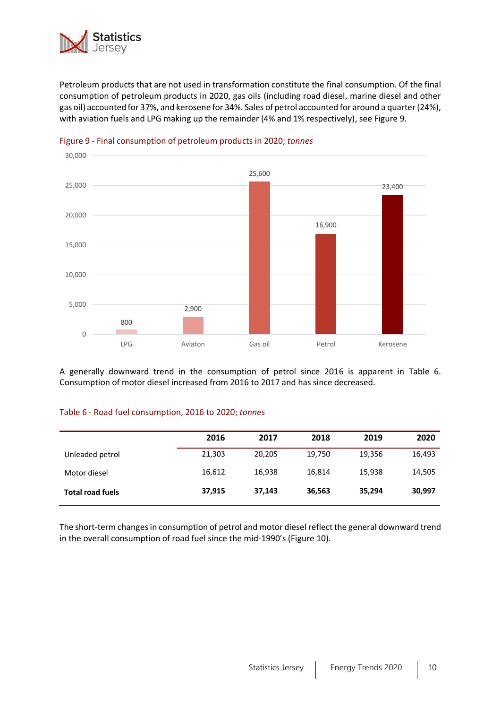

Petroleum products that are not used in transformation constitute the final consumption. Of the final consumption of petroleum products in 2020, gas oils (including road diesel, marine diesel and other gas oil) accounted for 37%, and kerosene for 34%. Sales of petrol accounted for around a quarter (24%), with aviation fuels and LPG making up the remainder (4% and 1% respectively), see Figure 9.



## Figure 9 - Final consumption of petroleum products in 2020; *tonnes*

A generally downward trend in the consumption of petrol since 2016 is apparent in Table 6. Consumption of motor diesel increased from 2016 to 2017 and has since decreased.

### Table 6 - Road fuel consumption, 2016 to 2020; *tonnes*

|                         | 2016   | 2017   | 2018   | 2019   | 2020   |
|-------------------------|--------|--------|--------|--------|--------|
| Unleaded petrol         | 21,303 | 20,205 | 19,750 | 19,356 | 16,493 |
| Motor diesel            | 16,612 | 16,938 | 16,814 | 15.938 | 14,505 |
| <b>Total road fuels</b> | 37,915 | 37,143 | 36,563 | 35,294 | 30,997 |

The short-term changes in consumption of petrol and motor diesel reflect the general downward trend in the overall consumption of road fuel since the mid-1990's (Figure 10).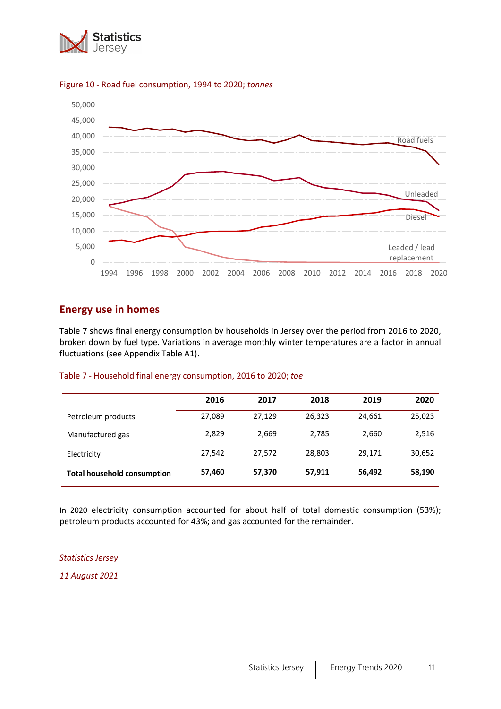



#### Figure 10 - Road fuel consumption, 1994 to 2020; *tonnes*

# **Energy use in homes**

Table 7 shows final energy consumption by households in Jersey over the period from 2016 to 2020, broken down by fuel type. Variations in average monthly winter temperatures are a factor in annual fluctuations (see Appendix Table A1).

#### Table 7 - Household final energy consumption, 2016 to 2020; *toe*

|                                    | 2016   | 2017   | 2018   | 2019   | 2020   |
|------------------------------------|--------|--------|--------|--------|--------|
| Petroleum products                 | 27,089 | 27,129 | 26,323 | 24,661 | 25,023 |
| Manufactured gas                   | 2,829  | 2,669  | 2,785  | 2,660  | 2,516  |
| Electricity                        | 27,542 | 27,572 | 28,803 | 29.171 | 30,652 |
| <b>Total household consumption</b> | 57,460 | 57,370 | 57,911 | 56,492 | 58,190 |

In 2020 electricity consumption accounted for about half of total domestic consumption (53%); petroleum products accounted for 43%; and gas accounted for the remainder.

#### *Statistics Jersey*

*11 August 2021*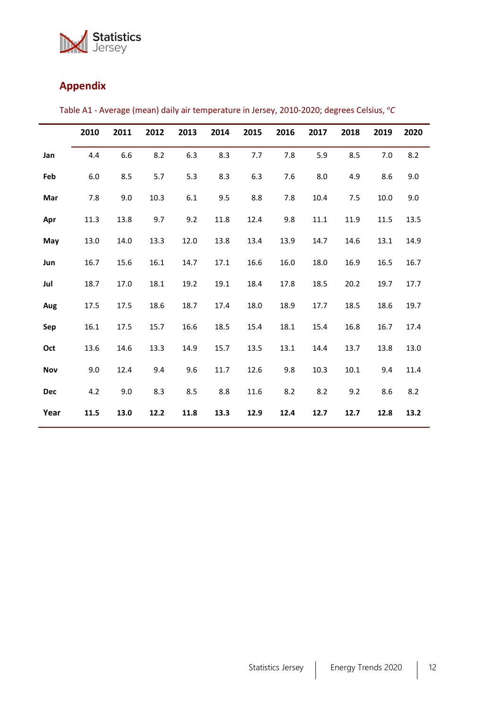

# <span id="page-11-0"></span>**Appendix**

|      | 2010 | 2011 | 2012  | 2013 | 2014 | 2015 | 2016 | 2017 | 2018 | 2019 | 2020 |
|------|------|------|-------|------|------|------|------|------|------|------|------|
| Jan  | 4.4  | 6.6  | 8.2   | 6.3  | 8.3  | 7.7  | 7.8  | 5.9  | 8.5  | 7.0  | 8.2  |
| Feb  | 6.0  | 8.5  | $5.7$ | 5.3  | 8.3  | 6.3  | 7.6  | 8.0  | 4.9  | 8.6  | 9.0  |
| Mar  | 7.8  | 9.0  | 10.3  | 6.1  | 9.5  | 8.8  | 7.8  | 10.4 | 7.5  | 10.0 | 9.0  |
| Apr  | 11.3 | 13.8 | 9.7   | 9.2  | 11.8 | 12.4 | 9.8  | 11.1 | 11.9 | 11.5 | 13.5 |
| May  | 13.0 | 14.0 | 13.3  | 12.0 | 13.8 | 13.4 | 13.9 | 14.7 | 14.6 | 13.1 | 14.9 |
| Jun  | 16.7 | 15.6 | 16.1  | 14.7 | 17.1 | 16.6 | 16.0 | 18.0 | 16.9 | 16.5 | 16.7 |
| Jul  | 18.7 | 17.0 | 18.1  | 19.2 | 19.1 | 18.4 | 17.8 | 18.5 | 20.2 | 19.7 | 17.7 |
| Aug  | 17.5 | 17.5 | 18.6  | 18.7 | 17.4 | 18.0 | 18.9 | 17.7 | 18.5 | 18.6 | 19.7 |
| Sep  | 16.1 | 17.5 | 15.7  | 16.6 | 18.5 | 15.4 | 18.1 | 15.4 | 16.8 | 16.7 | 17.4 |
| Oct  | 13.6 | 14.6 | 13.3  | 14.9 | 15.7 | 13.5 | 13.1 | 14.4 | 13.7 | 13.8 | 13.0 |
| Nov  | 9.0  | 12.4 | 9.4   | 9.6  | 11.7 | 12.6 | 9.8  | 10.3 | 10.1 | 9.4  | 11.4 |
| Dec  | 4.2  | 9.0  | 8.3   | 8.5  | 8.8  | 11.6 | 8.2  | 8.2  | 9.2  | 8.6  | 8.2  |
| Year | 11.5 | 13.0 | 12.2  | 11.8 | 13.3 | 12.9 | 12.4 | 12.7 | 12.7 | 12.8 | 13.2 |

Table A1 - Average (mean) daily air temperature in Jersey, 2010-2020; degrees Celsius, *<sup>o</sup>C*